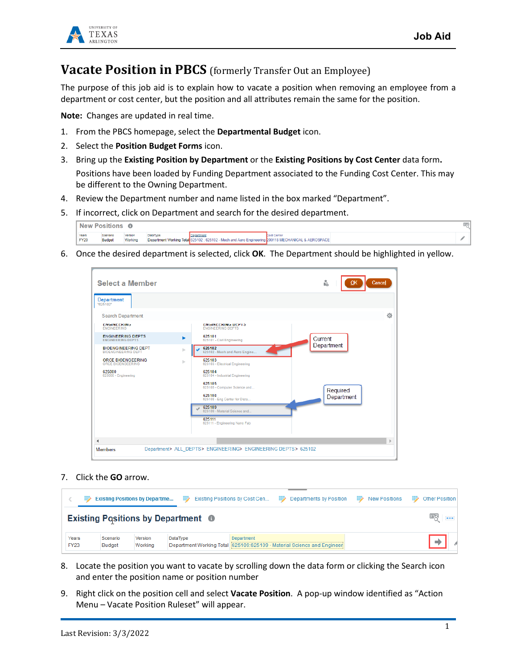

## **Vacate Position in PBCS** (formerly Transfer Out an Employee)

The purpose of this job aid is to explain how to vacate a position when removing an employee from a department or cost center, but the position and all attributes remain the same for the position.

**Note:** Changes are updated in real time.

- 1. From the PBCS homepage, select the **Departmental Budget** icon.
- 2. Select the **Position Budget Forms** icon.
- 3. Bring up the **Existing Position by Department** or the **Existing Positions by Cost Center** data form**.** Positions have been loaded by Funding Department associated to the Funding Cost Center. This may be different to the Owning Department.
- 4. Review the Department number and name listed in the box marked "Department".
- 5. If incorrect, click on Department and search for the desired department.

|                      | <b>New Positions</b>      |                    |                 |                                                                                                                  |             | 壓 |
|----------------------|---------------------------|--------------------|-----------------|------------------------------------------------------------------------------------------------------------------|-------------|---|
| Years<br><b>FY20</b> | Scenario<br><b>Budget</b> | Version<br>Working | <b>DataType</b> | Oepartment<br>Department Working Total 625102 : 625102 - Mech and Aero Engineering 200118 MECHANICAL & AEROSPACE | Cost Center |   |

6. Once the desired department is selected, click **OK**. The Department should be highlighted in yellow.



## 7. Click the **GO** arrow.

|                      |                           | <b>Existing Positions by Departme</b> | ⋑                                         | Existing Positions by Cost Cen<br>⋑ | Departments by Position                                                | <b>Contract Contract Contract</b> | <b>New Positions</b> | ⋑ | Other Position 1 |
|----------------------|---------------------------|---------------------------------------|-------------------------------------------|-------------------------------------|------------------------------------------------------------------------|-----------------------------------|----------------------|---|------------------|
|                      |                           |                                       | <b>Existing Positions by Department @</b> |                                     |                                                                        |                                   |                      |   | $- - -$          |
| Years<br><b>FY23</b> | Scenario<br><b>Budget</b> | Version<br>Working                    | <b>DataTvpe</b>                           | <b>Department</b>                   | Department Working Total 625109:625109 - Material Science and Engineer |                                   |                      |   |                  |

- 8. Locate the position you want to vacate by scrolling down the data form or clicking the Search icon and enter the position name or position number
- 9. Right click on the position cell and select **Vacate Position**. A pop-up window identified as "Action Menu – Vacate Position Ruleset" will appear.